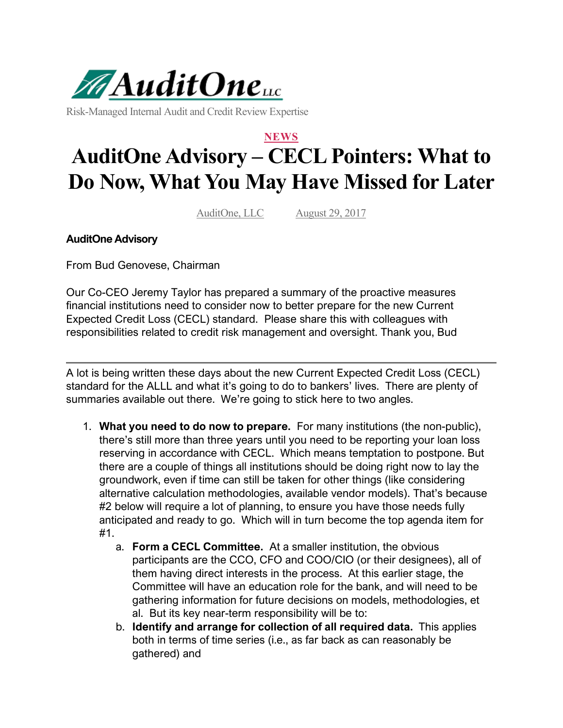

Risk-Managed Internal Audit and Credit Review Expertise

## **NEWS AuditOne Advisory – CECL Pointers: What to Do Now, What You May Have Missed for Later**

AuditOne, LLC August 29, 2017

**AuditOne Advisory**

From Bud Genovese, Chairman

Our Co-CEO Jeremy Taylor has prepared a summary of the proactive measures financial institutions need to consider now to better prepare for the new Current Expected Credit Loss (CECL) standard. Please share this with colleagues with responsibilities related to credit risk management and oversight. Thank you, Bud

A lot is being written these days about the new Current Expected Credit Loss (CECL) standard for the ALLL and what it's going to do to bankers' lives. There are plenty of summaries available out there. We're going to stick here to two angles.

- 1. **What you need to do now to prepare.** For many institutions (the non-public), there's still more than three years until you need to be reporting your loan loss reserving in accordance with CECL. Which means temptation to postpone. But there are a couple of things all institutions should be doing right now to lay the groundwork, even if time can still be taken for other things (like considering alternative calculation methodologies, available vendor models). That's because #2 below will require a lot of planning, to ensure you have those needs fully anticipated and ready to go. Which will in turn become the top agenda item for #1.
	- a. **Form a CECL Committee.** At a smaller institution, the obvious participants are the CCO, CFO and COO/CIO (or their designees), all of them having direct interests in the process. At this earlier stage, the Committee will have an education role for the bank, and will need to be gathering information for future decisions on models, methodologies, et al. But its key near-term responsibility will be to:
	- b. **Identify and arrange for collection of all required data.** This applies both in terms of time series (i.e., as far back as can reasonably be gathered) and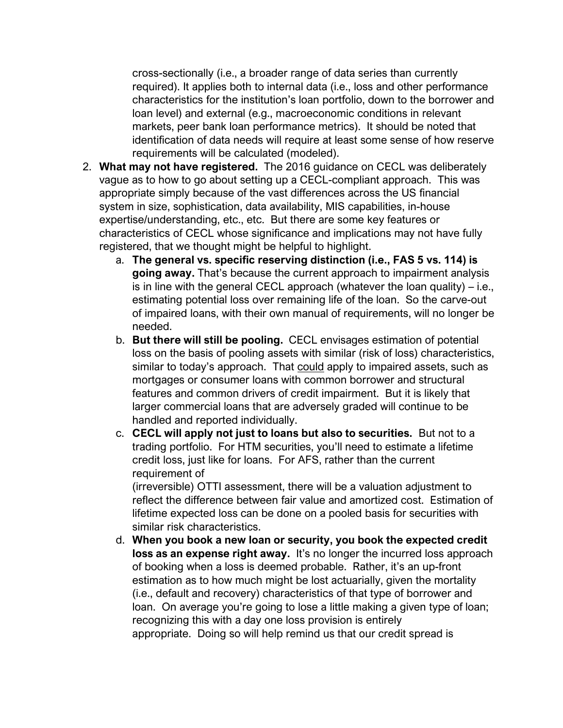cross-sectionally (i.e., a broader range of data series than currently required). It applies both to internal data (i.e., loss and other performance characteristics for the institution's loan portfolio, down to the borrower and loan level) and external (e.g., macroeconomic conditions in relevant markets, peer bank loan performance metrics). It should be noted that identification of data needs will require at least some sense of how reserve requirements will be calculated (modeled).

- 2. **What may not have registered.** The 2016 guidance on CECL was deliberately vague as to how to go about setting up a CECL-compliant approach. This was appropriate simply because of the vast differences across the US financial system in size, sophistication, data availability, MIS capabilities, in-house expertise/understanding, etc., etc. But there are some key features or characteristics of CECL whose significance and implications may not have fully registered, that we thought might be helpful to highlight.
	- a. **The general vs. specific reserving distinction (i.e., FAS 5 vs. 114) is going away.** That's because the current approach to impairment analysis is in line with the general CECL approach (whatever the loan quality) – i.e., estimating potential loss over remaining life of the loan. So the carve-out of impaired loans, with their own manual of requirements, will no longer be needed.
	- b. **But there will still be pooling.** CECL envisages estimation of potential loss on the basis of pooling assets with similar (risk of loss) characteristics, similar to today's approach. That could apply to impaired assets, such as mortgages or consumer loans with common borrower and structural features and common drivers of credit impairment. But it is likely that larger commercial loans that are adversely graded will continue to be handled and reported individually.
	- c. **CECL will apply not just to loans but also to securities.** But not to a trading portfolio. For HTM securities, you'll need to estimate a lifetime credit loss, just like for loans. For AFS, rather than the current requirement of

(irreversible) OTTI assessment, there will be a valuation adjustment to reflect the difference between fair value and amortized cost. Estimation of lifetime expected loss can be done on a pooled basis for securities with similar risk characteristics.

d. **When you book a new loan or security, you book the expected credit**  loss as an expense right away. It's no longer the incurred loss approach of booking when a loss is deemed probable. Rather, it's an up-front estimation as to how much might be lost actuarially, given the mortality (i.e., default and recovery) characteristics of that type of borrower and loan. On average you're going to lose a little making a given type of loan; recognizing this with a day one loss provision is entirely appropriate. Doing so will help remind us that our credit spread is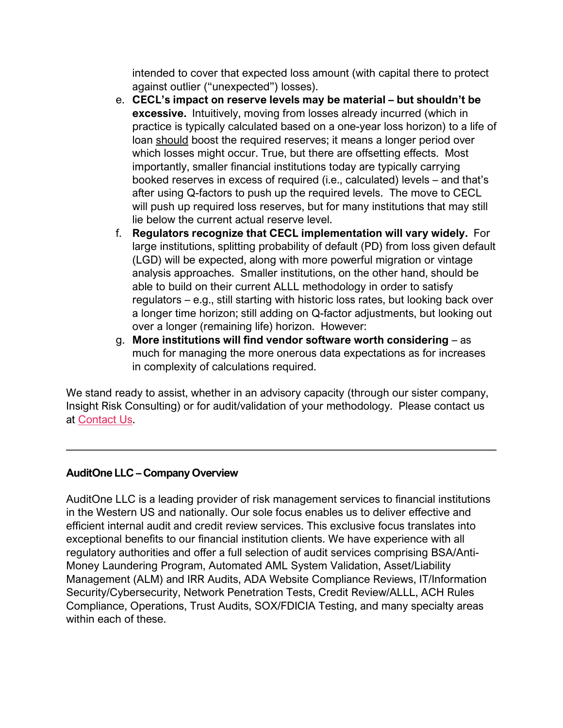intended to cover that expected loss amount (with capital there to protect against outlier ("unexpected") losses).

- e. **CECL's impact on reserve levels may be material – but shouldn't be excessive.** Intuitively, moving from losses already incurred (which in practice is typically calculated based on a one-year loss horizon) to a life of loan should boost the required reserves; it means a longer period over which losses might occur. True, but there are offsetting effects. Most importantly, smaller financial institutions today are typically carrying booked reserves in excess of required (i.e., calculated) levels – and that's after using Q-factors to push up the required levels. The move to CECL will push up required loss reserves, but for many institutions that may still lie below the current actual reserve level.
- f. **Regulators recognize that CECL implementation will vary widely.** For large institutions, splitting probability of default (PD) from loss given default (LGD) will be expected, along with more powerful migration or vintage analysis approaches. Smaller institutions, on the other hand, should be able to build on their current ALLL methodology in order to satisfy regulators – e.g., still starting with historic loss rates, but looking back over a longer time horizon; still adding on Q-factor adjustments, but looking out over a longer (remaining life) horizon. However:
- g. **More institutions will find vendor software worth considering** as much for managing the more onerous data expectations as for increases in complexity of calculations required.

We stand ready to assist, whether in an advisory capacity (through our sister company, Insight Risk Consulting) or for audit/validation of your methodology. Please contact us at [Contact Us.](https://auditonellc.com/contact-us)

## **AuditOne LLC – Company Overview**

AuditOne LLC is a leading provider of risk management services to financial institutions in the Western US and nationally. Our sole focus enables us to deliver effective and efficient internal audit and credit review services. This exclusive focus translates into exceptional benefits to our financial institution clients. We have experience with all regulatory authorities and offer a full selection of audit services comprising BSA/Anti-Money Laundering Program, Automated AML System Validation, Asset/Liability Management (ALM) and IRR Audits, ADA Website Compliance Reviews, IT/Information Security/Cybersecurity, Network Penetration Tests, Credit Review/ALLL, ACH Rules Compliance, Operations, Trust Audits, SOX/FDICIA Testing, and many specialty areas within each of these.